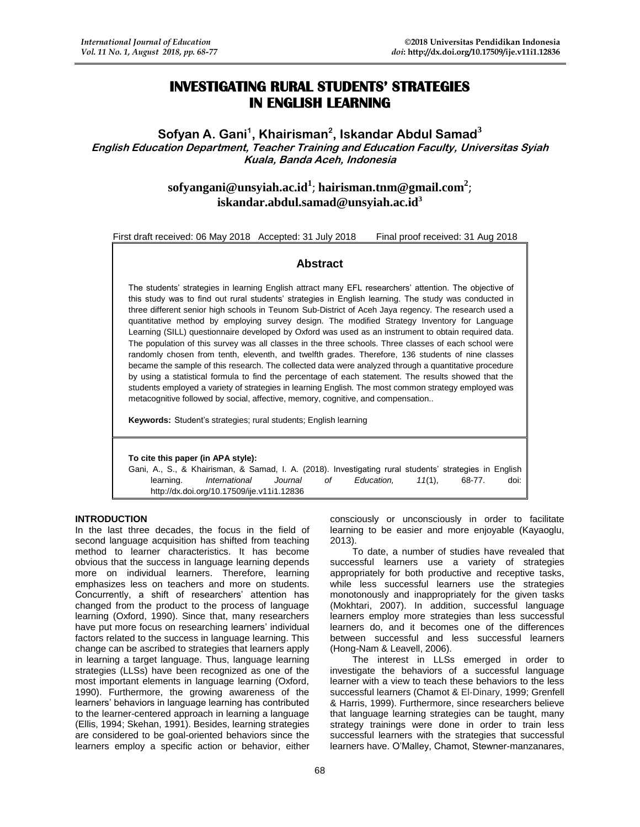# **INVESTIGATING RURAL STUDENTS' STRATEGIES IN ENGLISH LEARNING**

# **Sofyan A. Gani<sup>1</sup> , Khairisman<sup>2</sup> , Iskandar Abdul Samad<sup>3</sup> English Education Department, Teacher Training and Education Faculty, Universitas Syiah Kuala, Banda Aceh, Indonesia**

# **[sofyangani@unsyiah.ac.id](mailto:sofyangani@unsyiah.ac.id)<sup>1</sup>** ; **[hairisman.tnm@gmail.com](mailto:hairisman.tnm@gmail.com)<sup>2</sup>** ; **[iskandar.abdul.samad@unsyiah.ac.id](mailto:iskandar.abdul.samad@unsyiah.ac.id)<sup>3</sup>**

First draft received: 06 May 2018 Accepted: 31 July 2018 Final proof received: 31 Aug 2018

# **Abstract**

The students' strategies in learning English attract many EFL researchers' attention. The objective of this study was to find out rural students' strategies in English learning. The study was conducted in three different senior high schools in Teunom Sub-District of Aceh Jaya regency. The research used a quantitative method by employing survey design. The modified Strategy Inventory for Language Learning (SILL) questionnaire developed by Oxford was used as an instrument to obtain required data. The population of this survey was all classes in the three schools. Three classes of each school were randomly chosen from tenth, eleventh, and twelfth grades. Therefore, 136 students of nine classes became the sample of this research. The collected data were analyzed through a quantitative procedure by using a statistical formula to find the percentage of each statement. The results showed that the students employed a variety of strategies in learning English. The most common strategy employed was metacognitive followed by social, affective, memory, cognitive, and compensation..

**Keywords:** Student's strategies; rural students; English learning

## **To cite this paper (in APA style):**

Gani, A., S., & Khairisman, & Samad, I. A. (2018). Investigating rural students' strategies in English learning. *International Journal of Education, 11*(1), 68-77. doi: <http://dx.doi.org/10.17509/ije.v11i1.12836>

2013).

#### **INTRODUCTION**

In the last three decades, the focus in the field of second language acquisition has shifted from teaching method to learner characteristics. It has become obvious that the success in language learning depends more on individual learners. Therefore, learning emphasizes less on teachers and more on students. Concurrently, a shift of researchers' attention has changed from the product to the process of language learning (Oxford, 1990). Since that, many researchers have put more focus on researching learners' individual factors related to the success in language learning. This change can be ascribed to strategies that learners apply in learning a target language. Thus, language learning strategies (LLSs) have been recognized as one of the most important elements in language learning (Oxford, 1990). Furthermore, the growing awareness of the learners' behaviors in language learning has contributed to the learner-centered approach in learning a language (Ellis, 1994; Skehan, 1991). Besides, learning strategies are considered to be goal-oriented behaviors since the learners employ a specific action or behavior, either

To date, a number of studies have revealed that successful learners use a variety of strategies appropriately for both productive and receptive tasks, while less successful learners use the strategies

monotonously and inappropriately for the given tasks (Mokhtari, 2007). In addition, successful language learners employ more strategies than less successful learners do, and it becomes one of the differences between successful and less successful learners (Hong-Nam & Leavell, 2006).

consciously or unconsciously in order to facilitate learning to be easier and more enjoyable (Kayaoglu,

The interest in LLSs emerged in order to investigate the behaviors of a successful language learner with a view to teach these behaviors to the less successful learners (Chamot & El‐Dinary, 1999; Grenfell & Harris, 1999). Furthermore, since researchers believe that language learning strategies can be taught, many strategy trainings were done in order to train less successful learners with the strategies that successful learners have. O'Malley, Chamot, Stewner-manzanares,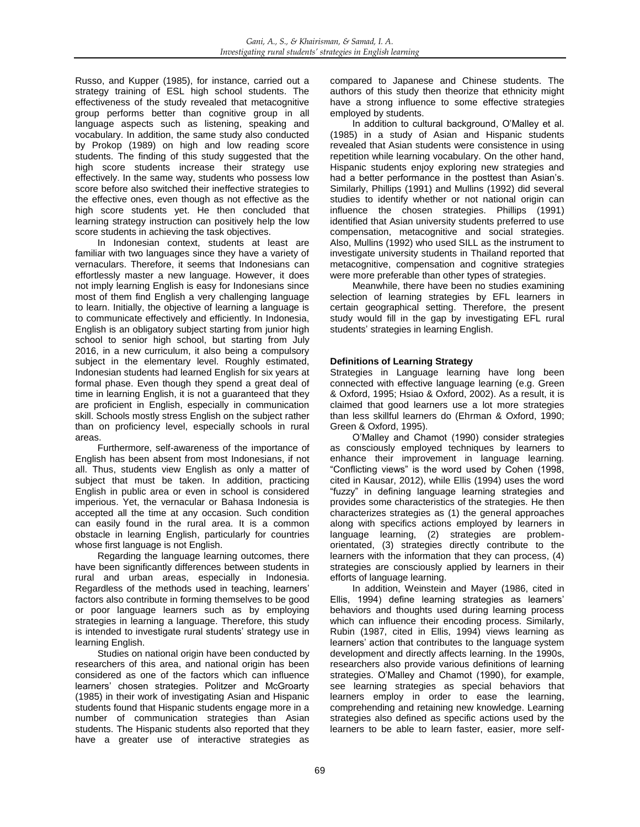Russo, and Kupper (1985), for instance, carried out a strategy training of ESL high school students. The effectiveness of the study revealed that metacognitive group performs better than cognitive group in all language aspects such as listening, speaking and vocabulary. In addition, the same study also conducted by Prokop (1989) on high and low reading score students. The finding of this study suggested that the high score students increase their strategy use effectively. In the same way, students who possess low score before also switched their ineffective strategies to the effective ones, even though as not effective as the high score students yet. He then concluded that learning strategy instruction can positively help the low score students in achieving the task objectives.

In Indonesian context, students at least are familiar with two languages since they have a variety of vernaculars. Therefore, it seems that Indonesians can effortlessly master a new language. However, it does not imply learning English is easy for Indonesians since most of them find English a very challenging language to learn. Initially, the objective of learning a language is to communicate effectively and efficiently. In Indonesia, English is an obligatory subject starting from junior high school to senior high school, but starting from July 2016, in a new curriculum, it also being a compulsory subject in the elementary level. Roughly estimated, Indonesian students had learned English for six years at formal phase. Even though they spend a great deal of time in learning English, it is not a guaranteed that they are proficient in English, especially in communication skill. Schools mostly stress English on the subject rather than on proficiency level, especially schools in rural areas.

Furthermore, self-awareness of the importance of English has been absent from most Indonesians, if not all. Thus, students view English as only a matter of subject that must be taken. In addition, practicing English in public area or even in school is considered imperious. Yet, the vernacular or Bahasa Indonesia is accepted all the time at any occasion. Such condition can easily found in the rural area. It is a common obstacle in learning English, particularly for countries whose first language is not English.

Regarding the language learning outcomes, there have been significantly differences between students in rural and urban areas, especially in Indonesia. Regardless of the methods used in teaching, learners' factors also contribute in forming themselves to be good or poor language learners such as by employing strategies in learning a language. Therefore, this study is intended to investigate rural students' strategy use in learning English.

Studies on national origin have been conducted by researchers of this area, and national origin has been considered as one of the factors which can influence learners' chosen strategies. Politzer and McGroarty (1985) in their work of investigating Asian and Hispanic students found that Hispanic students engage more in a number of communication strategies than Asian students. The Hispanic students also reported that they have a greater use of interactive strategies as

compared to Japanese and Chinese students. The authors of this study then theorize that ethnicity might have a strong influence to some effective strategies employed by students.

In addition to cultural background, O'Malley et al. (1985) in a study of Asian and Hispanic students revealed that Asian students were consistence in using repetition while learning vocabulary. On the other hand, Hispanic students enjoy exploring new strategies and had a better performance in the posttest than Asian's. Similarly, Phillips (1991) and Mullins (1992) did several studies to identify whether or not national origin can influence the chosen strategies. Phillips (1991) identified that Asian university students preferred to use compensation, metacognitive and social strategies. Also, Mullins (1992) who used SILL as the instrument to investigate university students in Thailand reported that metacognitive, compensation and cognitive strategies were more preferable than other types of strategies.

Meanwhile, there have been no studies examining selection of learning strategies by EFL learners in certain geographical setting. Therefore, the present study would fill in the gap by investigating EFL rural students' strategies in learning English.

# **Definitions of Learning Strategy**

Strategies in Language learning have long been connected with effective language learning (e.g. Green & Oxford, 1995; Hsiao & Oxford, 2002). As a result, it is claimed that good learners use a lot more strategies than less skillful learners do (Ehrman & Oxford, 1990; Green & Oxford, 1995).

O'Malley and Chamot (1990) consider strategies as consciously employed techniques by learners to enhance their improvement in language learning*.* "Conflicting views" is the word used by Cohen (1998, cited in Kausar, 2012), while Ellis (1994) uses the word "fuzzy" in defining language learning strategies and provides some characteristics of the strategies. He then characterizes strategies as (1) the general approaches along with specifics actions employed by learners in language learning, (2) strategies are problemorientated, (3) strategies directly contribute to the learners with the information that they can process, (4) strategies are consciously applied by learners in their efforts of language learning.

In addition, Weinstein and Mayer (1986, cited in Ellis, 1994) define learning strategies as learners' behaviors and thoughts used during learning process which can influence their encoding process. Similarly, Rubin (1987, cited in Ellis, 1994) views learning as learners' action that contributes to the language system development and directly affects learning. In the 1990s, researchers also provide various definitions of learning strategies. O'Malley and Chamot (1990), for example, see learning strategies as special behaviors that learners employ in order to ease the learning, comprehending and retaining new knowledge. Learning strategies also defined as specific actions used by the learners to be able to learn faster, easier, more self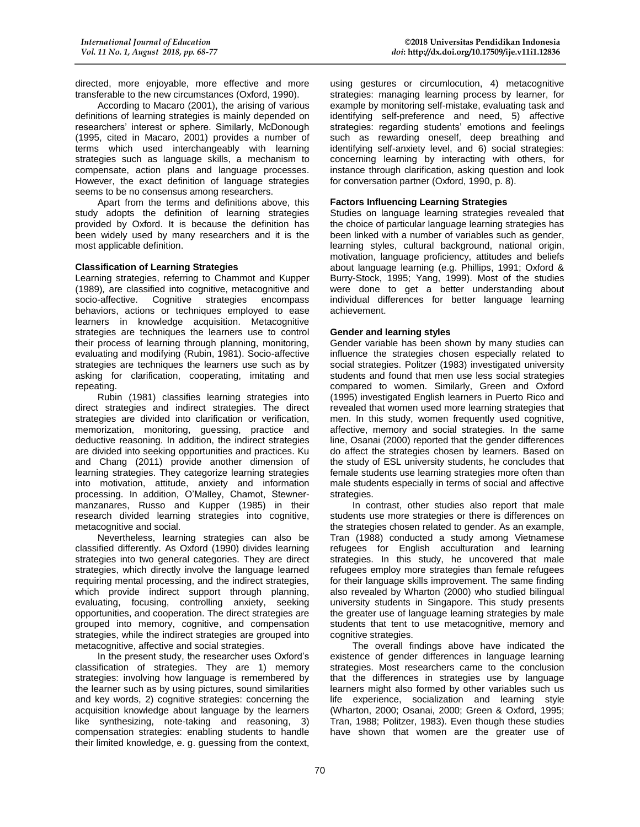directed, more enjoyable, more effective and more transferable to the new circumstances (Oxford, 1990).

According to Macaro (2001), the arising of various definitions of learning strategies is mainly depended on researchers' interest or sphere. Similarly, McDonough (1995, cited in Macaro, 2001) provides a number of terms which used interchangeably with learning strategies such as language skills, a mechanism to compensate, action plans and language processes. However, the exact definition of language strategies seems to be no consensus among researchers.

Apart from the terms and definitions above, this study adopts the definition of learning strategies provided by Oxford. It is because the definition has been widely used by many researchers and it is the most applicable definition.

#### **Classification of Learning Strategies**

Learning strategies, referring to Chammot and Kupper (1989)*,* are classified into cognitive, metacognitive and Cognitive strategies encompass behaviors, actions or techniques employed to ease learners in knowledge acquisition. Metacognitive strategies are techniques the learners use to control their process of learning through planning, monitoring, evaluating and modifying (Rubin, 1981). Socio-affective strategies are techniques the learners use such as by asking for clarification, cooperating, imitating and repeating.

Rubin (1981) classifies learning strategies into direct strategies and indirect strategies. The direct strategies are divided into clarification or verification, memorization, monitoring, guessing, practice and deductive reasoning. In addition, the indirect strategies are divided into seeking opportunities and practices. Ku and Chang (2011) provide another dimension of learning strategies. They categorize learning strategies into motivation, attitude, anxiety and information processing. In addition, O'Malley, Chamot, Stewnermanzanares, Russo and Kupper (1985) in their research divided learning strategies into cognitive, metacognitive and social.

Nevertheless, learning strategies can also be classified differently. As Oxford (1990) divides learning strategies into two general categories. They are direct strategies, which directly involve the language learned requiring mental processing, and the indirect strategies, which provide indirect support through planning, evaluating, focusing, controlling anxiety, seeking opportunities, and cooperation. The direct strategies are grouped into memory, cognitive, and compensation strategies, while the indirect strategies are grouped into metacognitive, affective and social strategies.

In the present study, the researcher uses Oxford's classification of strategies. They are 1) memory strategies: involving how language is remembered by the learner such as by using pictures, sound similarities and key words, 2) cognitive strategies: concerning the acquisition knowledge about language by the learners like synthesizing, note-taking and reasoning, 3) compensation strategies: enabling students to handle their limited knowledge, e. g. guessing from the context,

using gestures or circumlocution, 4) metacognitive strategies: managing learning process by learner, for example by monitoring self-mistake, evaluating task and identifying self-preference and need, 5) affective strategies: regarding students' emotions and feelings such as rewarding oneself, deep breathing and identifying self-anxiety level, and 6) social strategies: concerning learning by interacting with others, for instance through clarification, asking question and look for conversation partner (Oxford, 1990, p. 8).

# **Factors Influencing Learning Strategies**

Studies on language learning strategies revealed that the choice of particular language learning strategies has been linked with a number of variables such as gender, learning styles, cultural background, national origin, motivation, language proficiency, attitudes and beliefs about language learning (e.g. Phillips, 1991; Oxford & Burry-Stock, 1995; Yang, 1999). Most of the studies were done to get a better understanding about individual differences for better language learning achievement.

#### **Gender and learning styles**

Gender variable has been shown by many studies can influence the strategies chosen especially related to social strategies. Politzer (1983) investigated university students and found that men use less social strategies compared to women. Similarly, Green and Oxford (1995) investigated English learners in Puerto Rico and revealed that women used more learning strategies that men. In this study, women frequently used cognitive, affective, memory and social strategies. In the same line, Osanai (2000) reported that the gender differences do affect the strategies chosen by learners. Based on the study of ESL university students, he concludes that female students use learning strategies more often than male students especially in terms of social and affective strategies.

In contrast, other studies also report that male students use more strategies or there is differences on the strategies chosen related to gender. As an example, Tran (1988) conducted a study among Vietnamese refugees for English acculturation and learning strategies. In this study, he uncovered that male refugees employ more strategies than female refugees for their language skills improvement. The same finding also revealed by Wharton (2000) who studied bilingual university students in Singapore. This study presents the greater use of language learning strategies by male students that tent to use metacognitive, memory and cognitive strategies.

The overall findings above have indicated the existence of gender differences in language learning strategies. Most researchers came to the conclusion that the differences in strategies use by language learners might also formed by other variables such us life experience, socialization and learning style (Wharton, 2000; Osanai, 2000; Green & Oxford, 1995; Tran, 1988; Politzer, 1983). Even though these studies have shown that women are the greater use of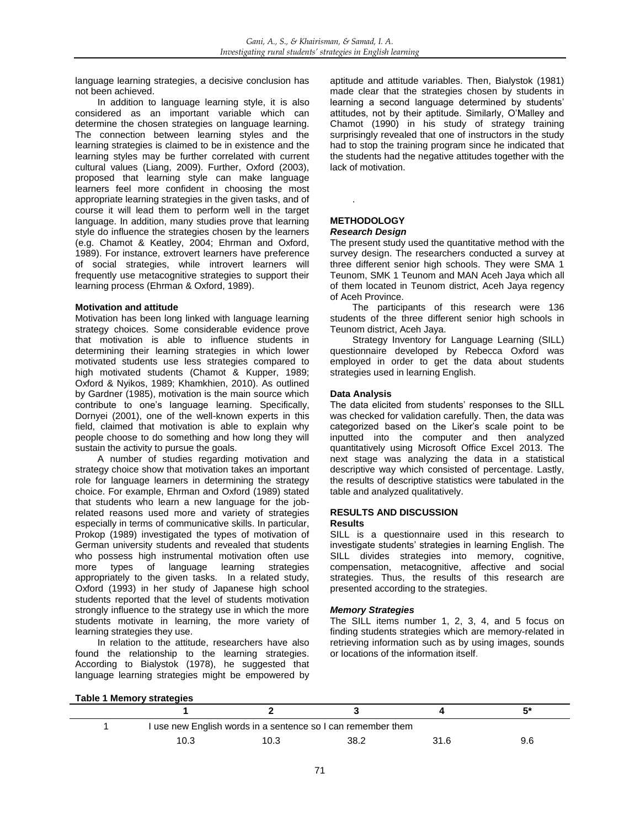language learning strategies, a decisive conclusion has not been achieved.

In addition to language learning style, it is also considered as an important variable which can determine the chosen strategies on language learning. The connection between learning styles and the learning strategies is claimed to be in existence and the learning styles may be further correlated with current cultural values (Liang, 2009). Further, Oxford (2003), proposed that learning style can make language learners feel more confident in choosing the most appropriate learning strategies in the given tasks, and of course it will lead them to perform well in the target language. In addition, many studies prove that learning style do influence the strategies chosen by the learners (e.g. Chamot & Keatley, 2004; Ehrman and Oxford, 1989). For instance, extrovert learners have preference of social strategies, while introvert learners will frequently use metacognitive strategies to support their learning process (Ehrman & Oxford, 1989).

### **Motivation and attitude**

Motivation has been long linked with language learning strategy choices. Some considerable evidence prove that motivation is able to influence students in determining their learning strategies in which lower motivated students use less strategies compared to high motivated students (Chamot & Kupper, 1989; Oxford & Nyikos, 1989; Khamkhien, 2010). As outlined by Gardner (1985), motivation is the main source which contribute to one's language learning. Specifically, Dornyei (2001), one of the well-known experts in this field, claimed that motivation is able to explain why people choose to do something and how long they will sustain the activity to pursue the goals.

A number of studies regarding motivation and strategy choice show that motivation takes an important role for language learners in determining the strategy choice. For example, Ehrman and Oxford (1989) stated that students who learn a new language for the jobrelated reasons used more and variety of strategies especially in terms of communicative skills. In particular, Prokop (1989) investigated the types of motivation of German university students and revealed that students who possess high instrumental motivation often use more types of language learning strategies appropriately to the given tasks. In a related study, Oxford (1993) in her study of Japanese high school students reported that the level of students motivation strongly influence to the strategy use in which the more students motivate in learning, the more variety of learning strategies they use.

In relation to the attitude, researchers have also found the relationship to the learning strategies. According to Bialystok (1978), he suggested that language learning strategies might be empowered by aptitude and attitude variables. Then, Bialystok (1981) made clear that the strategies chosen by students in learning a second language determined by students' attitudes, not by their aptitude. Similarly, O'Malley and Chamot (1990) in his study of strategy training surprisingly revealed that one of instructors in the study had to stop the training program since he indicated that the students had the negative attitudes together with the lack of motivation.

#### **METHODOLOGY** *Research Design*

.

The present study used the quantitative method with the survey design. The researchers conducted a survey at three different senior high schools. They were SMA 1 Teunom, SMK 1 Teunom and MAN Aceh Jaya which all of them located in Teunom district, Aceh Jaya regency of Aceh Province.

The participants of this research were 136 students of the three different senior high schools in Teunom district, Aceh Jaya.

Strategy Inventory for Language Learning (SILL) questionnaire developed by Rebecca Oxford was employed in order to get the data about students strategies used in learning English.

#### **Data Analysis**

The data elicited from students' responses to the SILL was checked for validation carefully. Then, the data was categorized based on the Liker's scale point to be inputted into the computer and then analyzed quantitatively using Microsoft Office Excel 2013. The next stage was analyzing the data in a statistical descriptive way which consisted of percentage. Lastly, the results of descriptive statistics were tabulated in the table and analyzed qualitatively.

## **RESULTS AND DISCUSSION**

#### **Results**

SILL is a questionnaire used in this research to investigate students' strategies in learning English. The SILL divides strategies into memory, cognitive, compensation, metacognitive, affective and social strategies. Thus, the results of this research are presented according to the strategies.

### *Memory Strategies*

The SILL items number 1, 2, 3, 4, and 5 focus on finding students strategies which are memory-related in retrieving information such as by using images, sounds or locations of the information itself.

#### **Table 1 Memory strategies**

|  |                                                              |      |      |      | 5*  |  |  |  |
|--|--------------------------------------------------------------|------|------|------|-----|--|--|--|
|  | I use new English words in a sentence so I can remember them |      |      |      |     |  |  |  |
|  | 10.3                                                         | 10.3 | 38.2 | 31.6 | 9.6 |  |  |  |
|  |                                                              |      |      |      |     |  |  |  |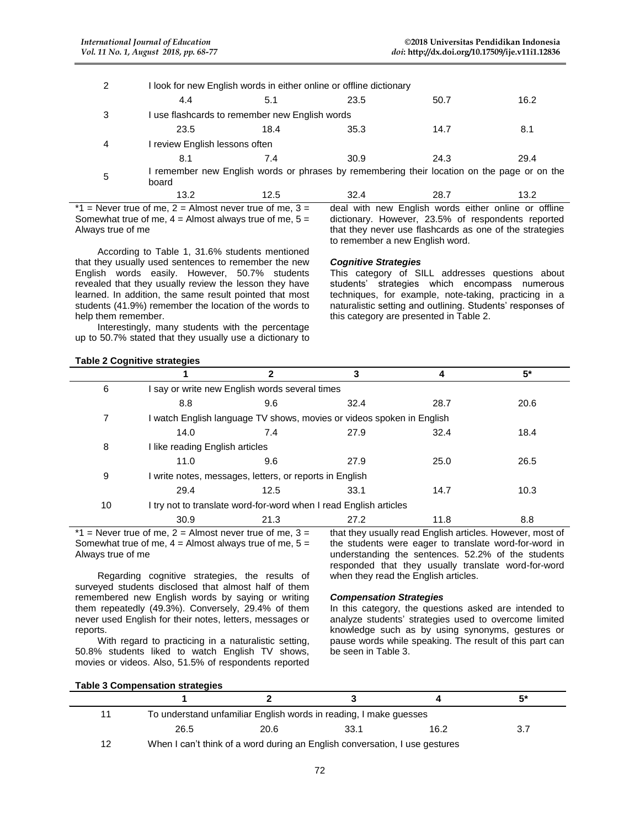| 2 | I look for new English words in either online or offline dictionary |      |                                                                                             |      |      |  |  |  |
|---|---------------------------------------------------------------------|------|---------------------------------------------------------------------------------------------|------|------|--|--|--|
|   | 4.4                                                                 | 5.1  | 23.5                                                                                        | 50.7 | 16.2 |  |  |  |
| 3 | I use flashcards to remember new English words                      |      |                                                                                             |      |      |  |  |  |
|   | 23.5                                                                | 18.4 | 35.3                                                                                        | 14.7 | 8.1  |  |  |  |
| 4 | I review English lessons often                                      |      |                                                                                             |      |      |  |  |  |
|   | 8.1                                                                 | 7.4  | 30.9                                                                                        | 24.3 | 29.4 |  |  |  |
| 5 | board                                                               |      | I remember new English words or phrases by remembering their location on the page or on the |      |      |  |  |  |
|   | 13.2                                                                | 12.5 | 32.4                                                                                        | 28.7 | 13.2 |  |  |  |

 $*1$  = Never true of me, 2 = Almost never true of me, 3 = Somewhat true of me,  $4 =$  Almost always true of me,  $5 =$ Always true of me

According to Table 1, 31.6% students mentioned that they usually used sentences to remember the new English words easily. However, 50.7% students revealed that they usually review the lesson they have learned. In addition, the same result pointed that most students (41.9%) remember the location of the words to help them remember.

Interestingly, many students with the percentage up to 50.7% stated that they usually use a dictionary to

## deal with new English words either online or offline dictionary. However, 23.5% of respondents reported that they never use flashcards as one of the strategies to remember a new English word.

### *Cognitive Strategies*

This category of SILL addresses questions about students' strategies which encompass numerous techniques, for example, note-taking, practicing in a naturalistic setting and outlining. Students' responses of this category are presented in Table 2.

# **Table 2 Cognitive strategies**

|    |                                                         |                                                | 3                                                                     |      | $5*$ |  |  |  |
|----|---------------------------------------------------------|------------------------------------------------|-----------------------------------------------------------------------|------|------|--|--|--|
| 6  |                                                         | I say or write new English words several times |                                                                       |      |      |  |  |  |
|    | 8.8                                                     | 9.6                                            | 32.4                                                                  | 28.7 | 20.6 |  |  |  |
| 7  |                                                         |                                                | I watch English language TV shows, movies or videos spoken in English |      |      |  |  |  |
|    | 14.0                                                    | 7.4                                            | 27.9                                                                  | 32.4 | 18.4 |  |  |  |
| 8  |                                                         | I like reading English articles                |                                                                       |      |      |  |  |  |
|    | 11.0                                                    | 9.6                                            | 27.9                                                                  | 25.0 | 26.5 |  |  |  |
| 9  | I write notes, messages, letters, or reports in English |                                                |                                                                       |      |      |  |  |  |
|    | 29.4                                                    | 12.5                                           | 33.1                                                                  | 14.7 | 10.3 |  |  |  |
| 10 |                                                         |                                                | I try not to translate word-for-word when I read English articles     |      |      |  |  |  |
|    | 30.9                                                    | 21.3                                           | 27.2                                                                  | 11.8 | 8.8  |  |  |  |
|    |                                                         |                                                |                                                                       |      |      |  |  |  |

 $*1$  = Never true of me, 2 = Almost never true of me, 3 = Somewhat true of me,  $4 =$  Almost always true of me,  $5 =$ Always true of me

Regarding cognitive strategies, the results of surveyed students disclosed that almost half of them remembered new English words by saying or writing them repeatedly (49.3%). Conversely, 29.4% of them never used English for their notes, letters, messages or reports.

With regard to practicing in a naturalistic setting, 50.8% students liked to watch English TV shows, movies or videos. Also, 51.5% of respondents reported that they usually read English articles. However, most of the students were eager to translate word-for-word in understanding the sentences. 52.2% of the students responded that they usually translate word-for-word when they read the English articles.

### *Compensation Strategies*

In this category, the questions asked are intended to analyze students' strategies used to overcome limited knowledge such as by using synonyms, gestures or pause words while speaking. The result of this part can be seen in Table 3.

|  |  | <b>Table 3 Compensation strategies</b> |
|--|--|----------------------------------------|
|  |  |                                        |

|    |                                                                   |      |                                                                             |      | 5*  |  |
|----|-------------------------------------------------------------------|------|-----------------------------------------------------------------------------|------|-----|--|
| 11 | To understand unfamiliar English words in reading, I make guesses |      |                                                                             |      |     |  |
|    | 26.5                                                              | 20.6 | 33.1                                                                        | 16.2 | 3.7 |  |
| 12 |                                                                   |      | When I can't think of a word during an English conversation, I use gestures |      |     |  |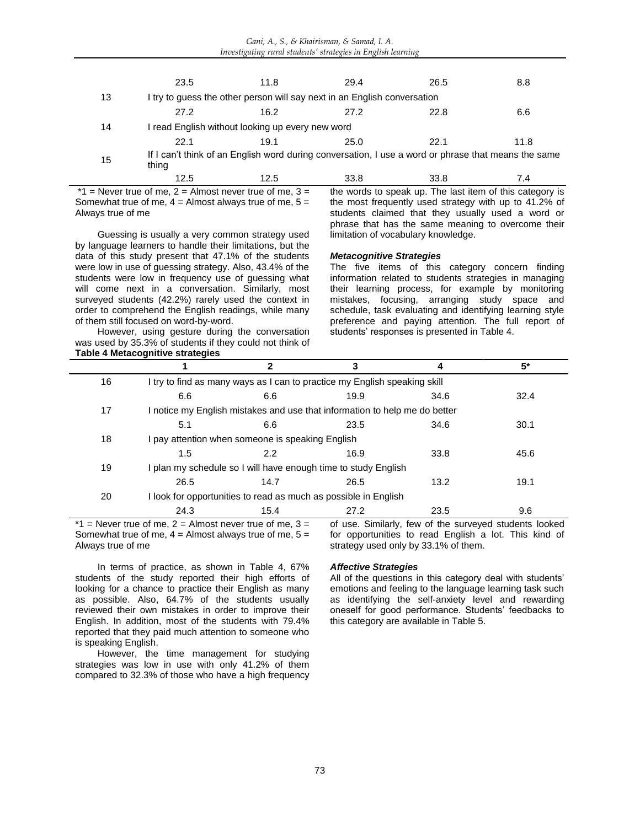|    | 23.5                                             | 11.8 | 29.4                                                                     | 26.5                                                                                                | 8.8  |  |  |
|----|--------------------------------------------------|------|--------------------------------------------------------------------------|-----------------------------------------------------------------------------------------------------|------|--|--|
| 13 |                                                  |      | I try to guess the other person will say next in an English conversation |                                                                                                     |      |  |  |
|    | 27.2                                             | 16.2 | 27.2                                                                     | 22.8                                                                                                | 6.6  |  |  |
| 14 | I read English without looking up every new word |      |                                                                          |                                                                                                     |      |  |  |
|    | 22.1                                             | 19.1 | 25.0                                                                     | 22.1                                                                                                | 11.8 |  |  |
| 15 | thing                                            |      |                                                                          | If I can't think of an English word during conversation, I use a word or phrase that means the same |      |  |  |
|    | 12.5                                             | 12.5 | 33.8                                                                     | 33.8                                                                                                | 7.4  |  |  |

 $*1$  = Never true of me, 2 = Almost never true of me, 3 = Somewhat true of me,  $4 =$  Almost always true of me,  $5 =$ Always true of me

Guessing is usually a very common strategy used by language learners to handle their limitations, but the data of this study present that 47.1% of the students were low in use of guessing strategy. Also, 43.4% of the students were low in frequency use of guessing what will come next in a conversation. Similarly, most surveyed students (42.2%) rarely used the context in order to comprehend the English readings, while many of them still focused on word-by-word.

the words to speak up. The last item of this category is the most frequently used strategy with up to 41.2% of students claimed that they usually used a word or phrase that has the same meaning to overcome their limitation of vocabulary knowledge.

### *Metacognitive Strategies*

The five items of this category concern finding information related to students strategies in managing their learning process, for example by monitoring mistakes, focusing, arranging study space and schedule, task evaluating and identifying learning style preference and paying attention. The full report of students' responses is presented in Table 4.

However, using gesture during the conversation was used by 35.3% of students if they could not think of **Table 4 Metacognitive strategies**

|    |                                                      | $\mathbf{2}$                                                               | 3    |                                                   | $5^*$ |  |  |
|----|------------------------------------------------------|----------------------------------------------------------------------------|------|---------------------------------------------------|-------|--|--|
| 16 |                                                      | I try to find as many ways as I can to practice my English speaking skill  |      |                                                   |       |  |  |
|    | 6.6                                                  | 6.6                                                                        | 19.9 | 34.6                                              | 32.4  |  |  |
| 17 |                                                      | I notice my English mistakes and use that information to help me do better |      |                                                   |       |  |  |
|    | 5.1                                                  | 6.6                                                                        | 23.5 | 34.6                                              | 30.1  |  |  |
| 18 | pay attention when someone is speaking English       |                                                                            |      |                                                   |       |  |  |
|    | 1.5                                                  | $2.2^{\circ}$                                                              | 16.9 | 33.8                                              | 45.6  |  |  |
| 19 |                                                      | I plan my schedule so I will have enough time to study English             |      |                                                   |       |  |  |
|    | 26.5                                                 | 14.7                                                                       | 26.5 | 13.2                                              | 19.1  |  |  |
| 20 |                                                      | I look for opportunities to read as much as possible in English            |      |                                                   |       |  |  |
|    | 24.3                                                 | 15.4                                                                       | 27.2 | 23.5                                              | 9.6   |  |  |
|    | $=$ Never true of me 2 = Almost never true of me 3 = |                                                                            | ∩f   | use Similarly few of the surveyed students looked |       |  |  |

 $*1$  = Never true of me, 2 = Almost never true of me, 3 = Somewhat true of me,  $4 =$  Almost always true of me,  $5 =$ Always true of me

of use. Similarly, few of the surveyed students looked for opportunities to read English a lot. This kind of strategy used only by 33.1% of them.

In terms of practice, as shown in Table 4, 67% students of the study reported their high efforts of looking for a chance to practice their English as many as possible. Also, 64.7% of the students usually reviewed their own mistakes in order to improve their English. In addition, most of the students with 79.4% reported that they paid much attention to someone who is speaking English.

However, the time management for studying strategies was low in use with only 41.2% of them compared to 32.3% of those who have a high frequency

# *Affective Strategies*

All of the questions in this category deal with students' emotions and feeling to the language learning task such as identifying the self-anxiety level and rewarding oneself for good performance. Students' feedbacks to this category are available in Table 5.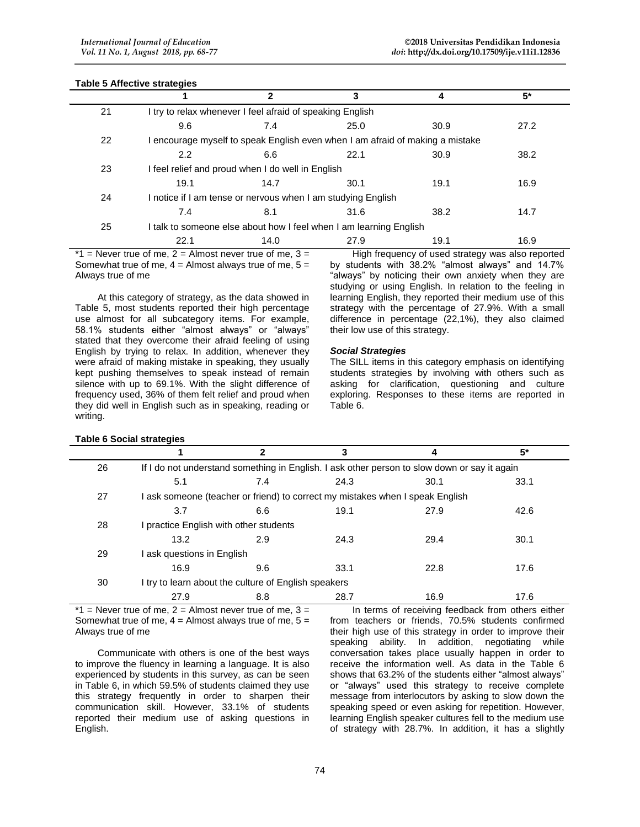# **Table 5 Affective strategies**

**Table 6 Social strategies**

|    |                                                                                                                |                                                                               | 3    |      | $5*$ |  |
|----|----------------------------------------------------------------------------------------------------------------|-------------------------------------------------------------------------------|------|------|------|--|
| 21 |                                                                                                                | I try to relax whenever I feel afraid of speaking English                     |      |      |      |  |
|    | 9.6                                                                                                            | 7.4                                                                           | 25.0 | 30.9 | 27.2 |  |
| 22 |                                                                                                                | I encourage myself to speak English even when I am afraid of making a mistake |      |      |      |  |
|    | 2.2                                                                                                            | 6.6                                                                           | 22.1 | 30.9 | 38.2 |  |
| 23 |                                                                                                                | I feel relief and proud when I do well in English                             |      |      |      |  |
|    | 19.1                                                                                                           | 14.7                                                                          | 30.1 | 19.1 | 16.9 |  |
| 24 | I notice if I am tense or nervous when I am studying English                                                   |                                                                               |      |      |      |  |
|    | 7.4                                                                                                            | 8.1                                                                           | 31.6 | 38.2 | 14.7 |  |
| 25 | I talk to someone else about how I feel when I am learning English                                             |                                                                               |      |      |      |  |
|    | 22.1                                                                                                           | 14.0                                                                          | 27.9 | 19.1 | 16.9 |  |
|    | $*1$ = Never true of me, 2 = Almost never true of me, 3 =<br>High frequency of used strategy was also reported |                                                                               |      |      |      |  |

 $*1$  = Never true of me, 2 = Almost never true of me, 3 = Somewhat true of me,  $4 =$  Almost always true of me,  $5 =$ Always true of me

At this category of strategy, as the data showed in Table 5, most students reported their high percentage use almost for all subcategory items. For example, 58.1% students either "almost always" or "always" stated that they overcome their afraid feeling of using English by trying to relax. In addition, whenever they were afraid of making mistake in speaking, they usually kept pushing themselves to speak instead of remain silence with up to 69.1%. With the slight difference of frequency used, 36% of them felt relief and proud when they did well in English such as in speaking, reading or writing.

by students with 38.2% "almost always" and 14.7% "always" by noticing their own anxiety when they are studying or using English. In relation to the feeling in learning English, they reported their medium use of this strategy with the percentage of 27.9%. With a small difference in percentage (22,1%), they also claimed their low use of this strategy.

#### *Social Strategies*

The SILL items in this category emphasis on identifying students strategies by involving with others such as asking for clarification, questioning and culture exploring. Responses to these items are reported in Table 6.

|    |                                                      | 2   | 3                                                                             | 4                                                                                            | 5*   |  |
|----|------------------------------------------------------|-----|-------------------------------------------------------------------------------|----------------------------------------------------------------------------------------------|------|--|
| 26 |                                                      |     |                                                                               | If I do not understand something in English. I ask other person to slow down or say it again |      |  |
|    | 5.1                                                  | 7.4 | 24.3                                                                          | 30.1                                                                                         | 33.1 |  |
| 27 |                                                      |     | I ask someone (teacher or friend) to correct my mistakes when I speak English |                                                                                              |      |  |
|    | 3.7                                                  | 6.6 | 19.1                                                                          | 27.9                                                                                         | 42.6 |  |
| 28 | I practice English with other students               |     |                                                                               |                                                                                              |      |  |
|    | 13.2                                                 | 2.9 | 24.3                                                                          | 29.4                                                                                         | 30.1 |  |
| 29 | I ask questions in English                           |     |                                                                               |                                                                                              |      |  |
|    | 16.9                                                 | 9.6 | 33.1                                                                          | 22.8                                                                                         | 17.6 |  |
| 30 | I try to learn about the culture of English speakers |     |                                                                               |                                                                                              |      |  |
|    | 27.9                                                 | 8.8 | 28.7                                                                          | 16.9                                                                                         | 17.6 |  |

 $*1$  = Never true of me, 2 = Almost never true of me, 3 = Somewhat true of me,  $4 =$  Almost always true of me,  $5 =$ Always true of me

Communicate with others is one of the best ways to improve the fluency in learning a language. It is also experienced by students in this survey, as can be seen in Table 6, in which 59.5% of students claimed they use this strategy frequently in order to sharpen their communication skill. However, 33.1% of students reported their medium use of asking questions in English.

In terms of receiving feedback from others either from teachers or friends, 70.5% students confirmed their high use of this strategy in order to improve their speaking ability. In addition, negotiating while conversation takes place usually happen in order to receive the information well. As data in the Table 6 shows that 63.2% of the students either "almost always" or "always" used this strategy to receive complete message from interlocutors by asking to slow down the speaking speed or even asking for repetition. However, learning English speaker cultures fell to the medium use of strategy with 28.7%. In addition, it has a slightly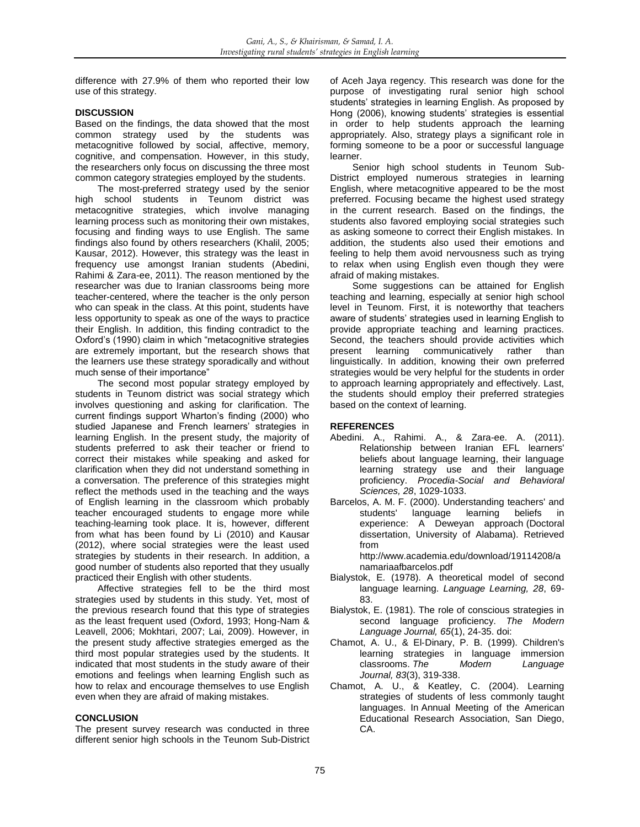difference with 27.9% of them who reported their low use of this strategy.

# **DISCUSSION**

Based on the findings, the data showed that the most common strategy used by the students was metacognitive followed by social, affective, memory, cognitive, and compensation. However, in this study, the researchers only focus on discussing the three most common category strategies employed by the students.

The most-preferred strategy used by the senior high school students in Teunom district was metacognitive strategies, which involve managing learning process such as monitoring their own mistakes, focusing and finding ways to use English. The same findings also found by others researchers (Khalil, 2005; Kausar, 2012). However, this strategy was the least in frequency use amongst Iranian students (Abedini, Rahimi & Zara-ee, 2011). The reason mentioned by the researcher was due to Iranian classrooms being more teacher-centered, where the teacher is the only person who can speak in the class. At this point, students have less opportunity to speak as one of the ways to practice their English. In addition, this finding contradict to the Oxford's (1990) claim in which "metacognitive strategies are extremely important, but the research shows that the learners use these strategy sporadically and without much sense of their importance"

The second most popular strategy employed by students in Teunom district was social strategy which involves questioning and asking for clarification. The current findings support Wharton's finding (2000) who studied Japanese and French learners' strategies in learning English. In the present study, the majority of students preferred to ask their teacher or friend to correct their mistakes while speaking and asked for clarification when they did not understand something in a conversation. The preference of this strategies might reflect the methods used in the teaching and the ways of English learning in the classroom which probably teacher encouraged students to engage more while teaching-learning took place. It is, however, different from what has been found by Li (2010) and Kausar (2012), where social strategies were the least used strategies by students in their research. In addition, a good number of students also reported that they usually practiced their English with other students.

Affective strategies fell to be the third most strategies used by students in this study. Yet, most of the previous research found that this type of strategies as the least frequent used (Oxford, 1993; Hong-Nam & Leavell, 2006; Mokhtari, 2007; Lai, 2009). However, in the present study affective strategies emerged as the third most popular strategies used by the students. It indicated that most students in the study aware of their emotions and feelings when learning English such as how to relax and encourage themselves to use English even when they are afraid of making mistakes.

### **CONCLUSION**

The present survey research was conducted in three different senior high schools in the Teunom Sub-District of Aceh Jaya regency. This research was done for the purpose of investigating rural senior high school students' strategies in learning English. As proposed by Hong (2006), knowing students' strategies is essential in order to help students approach the learning appropriately. Also, strategy plays a significant role in forming someone to be a poor or successful language learner.

Senior high school students in Teunom Sub-District employed numerous strategies in learning English, where metacognitive appeared to be the most preferred. Focusing became the highest used strategy in the current research. Based on the findings, the students also favored employing social strategies such as asking someone to correct their English mistakes. In addition, the students also used their emotions and feeling to help them avoid nervousness such as trying to relax when using English even though they were afraid of making mistakes.

Some suggestions can be attained for English teaching and learning, especially at senior high school level in Teunom. First, it is noteworthy that teachers aware of students' strategies used in learning English to provide appropriate teaching and learning practices. Second, the teachers should provide activities which present learning communicatively rather than linguistically. In addition, knowing their own preferred strategies would be very helpful for the students in order to approach learning appropriately and effectively. Last, the students should employ their preferred strategies based on the context of learning.

### **REFERENCES**

- Abedini. A., Rahimi. A., & Zara-ee. A. (2011). Relationship between Iranian EFL learners' beliefs about language learning, their language learning strategy use and their language proficiency. *Procedia-Social and Behavioral Sciences, 28*, 1029-1033.
- Barcelos, A. M. F. (2000). Understanding teachers' and students' language learning beliefs in experience: A Deweyan approach (Doctoral dissertation, University of Alabama). Retrieved from

http://www.academia.edu/download/19114208/a namariaafbarcelos.pdf

- Bialystok, E. (1978). A theoretical model of second language learning. *Language Learning, 28*, 69- 83.
- Bialystok, E. (1981). The role of conscious strategies in second language proficiency. *The Modern Language Journal, 65*(1), 24-35. doi:
- Chamot, A. U., & El‐Dinary, P. B. (1999). Children's learning strategies in language immersion<br>classrooms. The Modern Language classrooms. The *Journal, 83*(3), 319-338.
- Chamot, A. U., & Keatley, C. (2004). Learning strategies of students of less commonly taught languages. In Annual Meeting of the American Educational Research Association, San Diego, CA.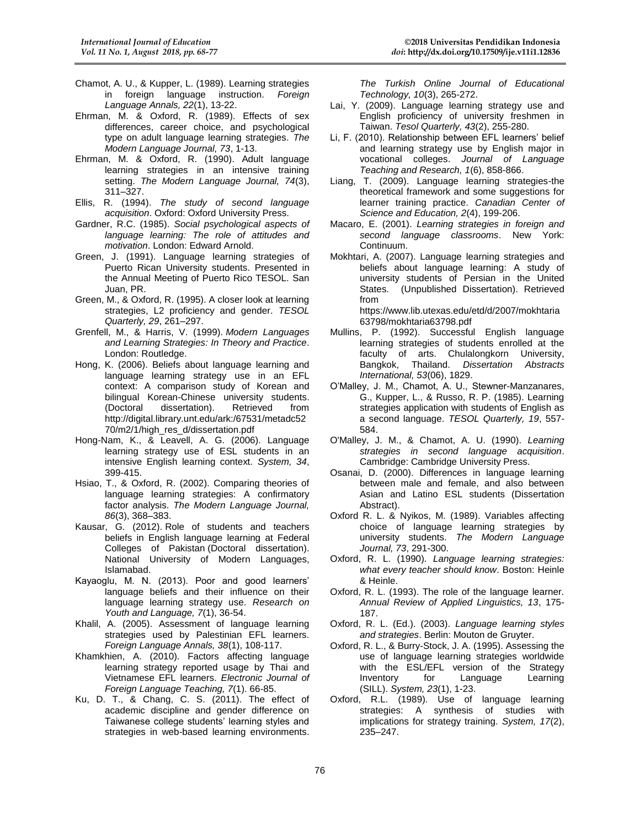- Chamot, A. U., & Kupper, L. (1989). Learning strategies in foreign language instruction. *Foreign Language Annals, 22*(1), 13-22.
- Ehrman, M. & Oxford, R. (1989). Effects of sex differences, career choice, and psychological type on adult language learning strategies. *The Modern Language Journal, 73*, 1-13.
- Ehrman, M. & Oxford, R. (1990). Adult language learning strategies in an intensive training setting. *The Modern Language Journal, 74*(3), 311–327.
- Ellis, R. (1994). *The study of second language acquisition*. Oxford: Oxford University Press.
- Gardner, R.C. (1985). *Social psychological aspects of language learning: The role of attitudes and motivation*. London: Edward Arnold.
- Green, J. (1991). Language learning strategies of Puerto Rican University students. Presented in the Annual Meeting of Puerto Rico TESOL. San Juan, PR.
- Green, M., & Oxford, R. (1995). A closer look at learning strategies, L2 proficiency and gender. *TESOL Quarterly, 29*, 261–297.
- Grenfell, M., & Harris, V. (1999). *Modern Languages and Learning Strategies: In Theory and Practice*. London: Routledge.
- Hong, K. (2006). Beliefs about language learning and language learning strategy use in an EFL context: A comparison study of Korean and bilingual Korean-Chinese university students. (Doctoral dissertation). Retrieved from http://digital.library.unt.edu/ark:/67531/metadc52 70/m2/1/high\_res\_d/dissertation.pdf
- Hong-Nam, K., & Leavell, A. G. (2006). Language learning strategy use of ESL students in an intensive English learning context. *System, 34*, 399-415.
- Hsiao, T., & Oxford, R. (2002). Comparing theories of language learning strategies: A confirmatory factor analysis. *The Modern Language Journal, 86*(3), 368–383.
- Kausar, G. (2012). Role of students and teachers beliefs in English language learning at Federal Colleges of Pakistan (Doctoral dissertation). National University of Modern Languages, Islamabad.
- Kayaoglu, M. N. (2013). Poor and good learners' language beliefs and their influence on their language learning strategy use. *Research on Youth and Language, 7*(1), 36-54.
- Khalil, A. (2005). Assessment of language learning strategies used by Palestinian EFL learners. *Foreign Language Annals, 38*(1), 108-117.
- Khamkhien, A. (2010). Factors affecting language learning strategy reported usage by Thai and Vietnamese EFL learners. *Electronic Journal of Foreign Language Teaching, 7*(1). 66-85.
- Ku, D. T., & Chang, C. S. (2011). The effect of academic discipline and gender difference on Taiwanese college students' learning styles and strategies in web-based learning environments.

*The Turkish Online Journal of Educational Technology, 10*(3), 265-272.

- Lai, Y. (2009). Language learning strategy use and English proficiency of university freshmen in Taiwan. *Tesol Quarterly, 43*(2), 255-280.
- Li, F. (2010). Relationship between EFL learners' belief and learning strategy use by English major in vocational colleges. *Journal of Language Teaching and Research, 1*(6), 858-866.
- Liang, T. (2009). Language learning strategies-the theoretical framework and some suggestions for learner training practice. *Canadian Center of Science and Education, 2*(4), 199-206.
- Macaro, E. (2001). *Learning strategies in foreign and second language classrooms*. New York: Continuum.
- Mokhtari, A. (2007). Language learning strategies and beliefs about language learning: A study of university students of Persian in the United States. (Unpublished Dissertation). Retrieved from https://www.lib.utexas.edu/etd/d/2007/mokhtaria

63798/mokhtaria63798.pdf Mullins, P. (1992). Successful English language learning strategies of students enrolled at the

- faculty of arts. Chulalongkorn University, Bangkok, Thailand. *Dissertation Abstracts International, 53*(06), 1829.
- O'Malley, J. M., Chamot, A. U., Stewner-Manzanares, G., Kupper, L., & Russo, R. P. (1985). Learning strategies application with students of English as a second language. *TESOL Quarterly, 19*, 557- 584.
- O'Malley, J. M., & Chamot, A. U. (1990). *Learning strategies in second language acquisition*. Cambridge: Cambridge University Press.
- Osanai, D. (2000). Differences in language learning between male and female, and also between Asian and Latino ESL students (Dissertation Abstract).
- Oxford R. L. & Nyikos, M. (1989). Variables affecting choice of language learning strategies by university students. *The Modern Language Journal, 73*, 291-300.
- Oxford, R. L. (1990). *Language learning strategies: what every teacher should know*. Boston: Heinle & Heinle.
- Oxford, R. L. (1993). The role of the language learner. *Annual Review of Applied Linguistics, 13*, 175- 187.
- Oxford, R. L. (Ed.). (2003). *Language learning styles and strategies*. Berlin: Mouton de Gruyter.
- Oxford, R. L., & Burry-Stock, J. A. (1995). Assessing the use of language learning strategies worldwide with the ESL/EFL version of the Strategy Inventory for Language Learning (SILL). *System, 23*(1), 1-23.
- Oxford, R.L. (1989). Use of language learning strategies: A synthesis of studies with implications for strategy training. *System, 17*(2), 235–247.